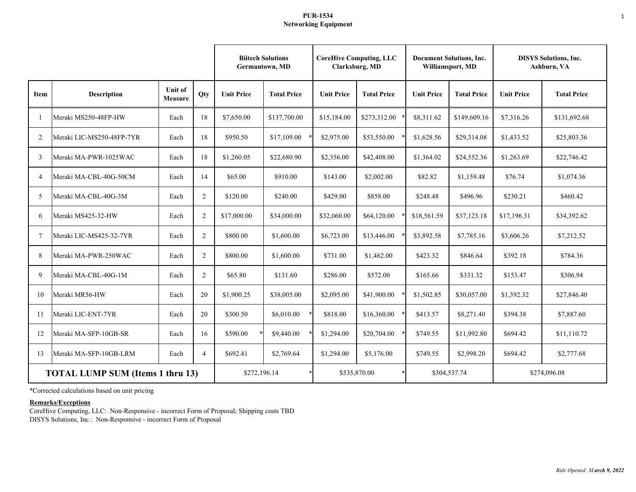# **PUR-1534 Networking Equipment**

|                                         |                           |                                  |                | <b>Germantown, MD</b> | <b>Biitech Solutions</b> | <b>CoreHive Computing, LLC</b><br>Clarksburg, MD |                    | <b>Document Solutions, Inc.</b><br>Williamsport, MD |                    | <b>DISYS Solutions, Inc.</b><br>Ashburn, VA |                    |
|-----------------------------------------|---------------------------|----------------------------------|----------------|-----------------------|--------------------------|--------------------------------------------------|--------------------|-----------------------------------------------------|--------------------|---------------------------------------------|--------------------|
| Item                                    | <b>Description</b>        | <b>Unit of</b><br><b>Measure</b> | Qty            | <b>Unit Price</b>     | <b>Total Price</b>       | <b>Unit Price</b>                                | <b>Total Price</b> | <b>Unit Price</b>                                   | <b>Total Price</b> | <b>Unit Price</b>                           | <b>Total Price</b> |
|                                         | Meraki MS250-48FP-HW      | Each                             | 18             | \$7,650.00            | \$137,700.00             | \$15,184.00                                      | \$273,312.00       | \$8,311.62                                          | \$149,609.16       | \$7,316.26                                  | \$131,692.68       |
| $\overline{2}$                          | Meraki LIC-MS250-48FP-7YR | Each                             | 18             | \$950.50              | \$17,109.00              | \$2,975.00                                       | \$53,550.00        | \$1,628.56                                          | \$29,314.08        | \$1,433.52                                  | \$25,803.36        |
| 3                                       | Meraki MA-PWR-1025WAC     | Each                             | 18             | \$1,260.05            | \$22,680.90              | \$2,356.00                                       | \$42,408.00        | \$1,364.02                                          | \$24,552.36        | \$1,263.69                                  | \$22,746.42        |
| $\overline{4}$                          | Meraki MA-CBL-40G-50CM    | Each                             | 14             | \$65.00               | \$910.00                 | \$143.00                                         | \$2,002.00         | \$82.82                                             | \$1,159.48         | \$76.74                                     | \$1,074.36         |
| $\overline{\phantom{1}}$                | Meraki MA-CBL-40G-3M      | Each                             | $\overline{2}$ | \$120.00              | \$240.00                 | \$429.00                                         | \$858.00           | \$248.48                                            | \$496.96           | \$230.21                                    | \$460.42           |
| 6                                       | Meraki MS425-32-HW        | Each                             | 2              | \$17,000.00           | \$34,000.00              | \$32,060.00                                      | \$64,120.00        | \$18,561.59                                         | \$37,123.18        | \$17,196.31                                 | \$34,392.62        |
| 7                                       | Meraki LIC-MS425-32-7YR   | Each                             | 2              | \$800.00              | \$1,600.00               | \$6,723.00                                       | \$13,446.00        | \$3,892.58                                          | \$7,785.16         | \$3,606.26                                  | \$7,212.52         |
| 8                                       | Meraki MA-PWR-250WAC      | Each                             | 2              | \$800.00              | \$1,600.00               | \$731.00                                         | \$1,462.00         | \$423.32                                            | \$846.64           | \$392.18                                    | \$784.36           |
| 9                                       | Meraki MA-CBL-40G-1M      | Each                             | 2              | \$65.80               | \$131.60                 | \$286.00                                         | \$572.00           | \$165.66                                            | \$331.32           | \$153.47                                    | \$306.94           |
| 10                                      | Meraki MR56-HW            | Each                             | 20             | \$1,900.25            | \$38,005.00              | \$2,095.00                                       | \$41,900.00        | \$1,502.85                                          | \$30,057.00        | \$1,392.32                                  | \$27,846.40        |
| 11                                      | Meraki LIC-ENT-7YR        | Each                             | 20             | \$300.50              | \$6,010.00               | \$818.00                                         | \$16,360.00        | \$413.57                                            | \$8,271.40         | \$394.38                                    | \$7,887.60         |
| 12                                      | Meraki MA-SFP-10GB-SR     | Each                             | 16             | \$590.00              | \$9,440.00               | \$1,294.00                                       | \$20,704.00        | \$749.55                                            | \$11,992.80        | \$694.42                                    | \$11,110.72        |
| 13                                      | Meraki MA-SFP-10GB-LRM    | Each                             | $\overline{4}$ | \$692.41              | \$2,769.64               | \$1,294.00                                       | \$5,176.00         | \$749.55                                            | \$2,998.20         | \$694.42                                    | \$2,777.68         |
| <b>TOTAL LUMP SUM (Items 1 thru 13)</b> |                           |                                  |                | \$272,196.14          |                          | \$535,870.00                                     |                    | \$304,537.74                                        |                    | \$274,096.08                                |                    |

\*Corrected calculations based on unit pricing

# **Remarks/Exceptions**

CoreHive Computing, LLC: Non-Responsive - incorrect Form of Proposal; Shipping costs TBD DISYS Solutions, Inc.: Non-Responsive - incorrect Form of Proposal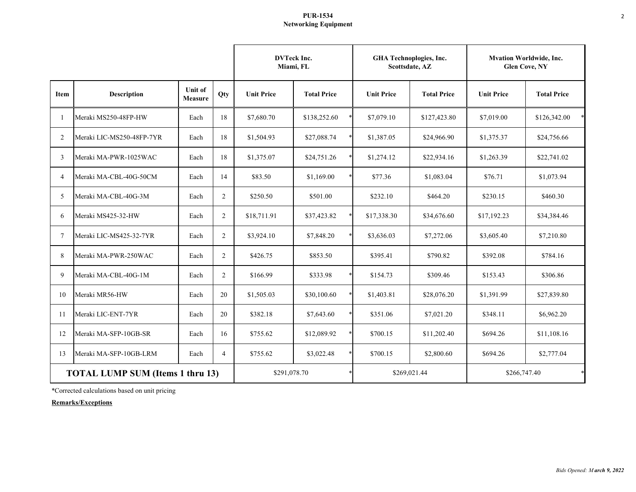# **PUR-1534 Networking Equipment**

|                                         |                           |                                  | <b>DVTeck Inc.</b><br>Miami, FL |                   | GHA Technoplogies, Inc. | Scottsdate, AZ    | <b>Mvation Worldwide, Inc.</b><br><b>Glen Cove, NY</b> |                   |                    |
|-----------------------------------------|---------------------------|----------------------------------|---------------------------------|-------------------|-------------------------|-------------------|--------------------------------------------------------|-------------------|--------------------|
| Item                                    | <b>Description</b>        | <b>Unit of</b><br><b>Measure</b> | Qty                             | <b>Unit Price</b> | <b>Total Price</b>      | <b>Unit Price</b> | <b>Total Price</b>                                     | <b>Unit Price</b> | <b>Total Price</b> |
|                                         | Meraki MS250-48FP-HW      | Each                             | 18                              | \$7,680.70        | \$138,252.60            | \$7,079.10        | \$127,423.80                                           | \$7,019.00        | \$126,342.00       |
| 2                                       | Meraki LIC-MS250-48FP-7YR | Each                             | 18                              | \$1,504.93        | \$27,088.74             | \$1,387.05        | \$24,966.90                                            | \$1,375.37        | \$24,756.66        |
| 3                                       | Meraki MA-PWR-1025WAC     | Each                             | 18                              | \$1,375.07        | \$24,751.26             | \$1,274.12        | \$22,934.16                                            | \$1,263.39        | \$22,741.02        |
| $\overline{4}$                          | Meraki MA-CBL-40G-50CM    | Each                             | 14                              | \$83.50           | \$1,169.00              | \$77.36           | \$1,083.04                                             | \$76.71           | \$1,073.94         |
| 5                                       | Meraki MA-CBL-40G-3M      | Each                             | 2                               | \$250.50          | \$501.00                | \$232.10          | \$464.20                                               | \$230.15          | \$460.30           |
| 6                                       | Meraki MS425-32-HW        | Each                             | $\overline{2}$                  | \$18,711.91       | \$37,423.82             | \$17,338.30       | \$34,676.60                                            | \$17,192.23       | \$34,384.46        |
| $\tau$                                  | Meraki LIC-MS425-32-7YR   | Each                             | 2                               | \$3,924.10        | \$7,848.20              | \$3,636.03        | \$7,272.06                                             | \$3,605.40        | \$7,210.80         |
| 8                                       | Meraki MA-PWR-250WAC      | Each                             | 2                               | \$426.75          | \$853.50                | \$395.41          | \$790.82                                               | \$392.08          | \$784.16           |
| 9                                       | Meraki MA-CBL-40G-1M      | Each                             | 2                               | \$166.99          | \$333.98                | \$154.73          | \$309.46                                               | \$153.43          | \$306.86           |
| 10                                      | Meraki MR56-HW            | Each                             | 20                              | \$1,505.03        | \$30,100.60             | \$1,403.81        | \$28,076.20                                            | \$1,391.99        | \$27,839.80        |
| 11                                      | Meraki LIC-ENT-7YR        | Each                             | 20                              | \$382.18          | \$7,643.60              | \$351.06          | \$7,021.20                                             | \$348.11          | \$6,962.20         |
| 12                                      | Meraki MA-SFP-10GB-SR     | Each                             | 16                              | \$755.62          | \$12,089.92             | \$700.15          | \$11,202.40                                            | \$694.26          | \$11,108.16        |
| 13                                      | Meraki MA-SFP-10GB-LRM    | Each                             | $\overline{4}$                  | \$755.62          | \$3,022.48              | \$700.15          | \$2,800.60                                             | \$694.26          | \$2,777.04         |
| <b>TOTAL LUMP SUM (Items 1 thru 13)</b> |                           |                                  |                                 | \$291,078.70      |                         |                   | \$269,021.44                                           | \$266,747.40      |                    |

\*Corrected calculations based on unit pricing

**Remarks/Exceptions**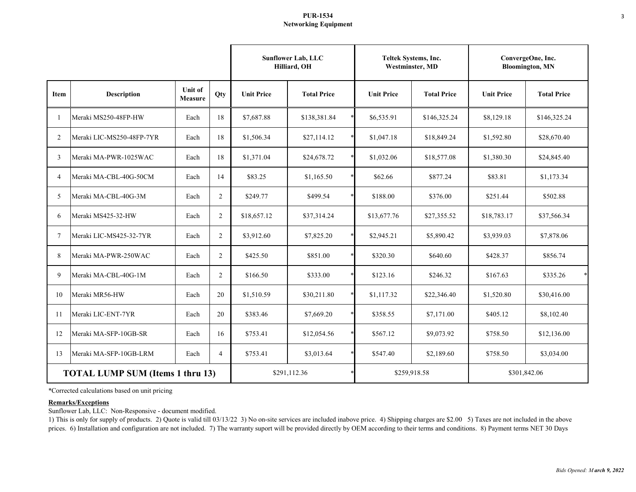### **PUR-1534 Networking Equipment**

|                                         |                           |                           |                | <b>Sunflower Lab, LLC</b><br>Hilliard, OH | Teltek Systems, Inc.<br><b>Westminster, MD</b> |                   | ConvergeOne, Inc.<br><b>Bloomington, MN</b> |                   |                    |
|-----------------------------------------|---------------------------|---------------------------|----------------|-------------------------------------------|------------------------------------------------|-------------------|---------------------------------------------|-------------------|--------------------|
| Item                                    | <b>Description</b>        | <b>Unit of</b><br>Measure | Qty            | <b>Unit Price</b>                         | <b>Total Price</b>                             | <b>Unit Price</b> | <b>Total Price</b>                          | <b>Unit Price</b> | <b>Total Price</b> |
| -1                                      | Meraki MS250-48FP-HW      | Each                      | 18             | \$7,687.88                                | \$138,381.84                                   | \$6,535.91        | \$146,325.24                                | \$8,129.18        | \$146,325.24       |
| 2                                       | Meraki LIC-MS250-48FP-7YR | Each                      | 18             | \$1,506.34                                | \$27,114.12                                    | \$1,047.18        | \$18,849.24                                 | \$1,592.80        | \$28,670.40        |
| 3                                       | Meraki MA-PWR-1025WAC     | Each                      | 18             | \$1,371.04                                | \$24,678.72                                    | \$1,032.06        | \$18,577.08                                 | \$1,380.30        | \$24,845.40        |
| $\overline{4}$                          | Meraki MA-CBL-40G-50CM    | Each                      | 14             | \$83.25                                   | \$1,165.50                                     | \$62.66           | \$877.24                                    | \$83.81           | \$1,173.34         |
| 5                                       | Meraki MA-CBL-40G-3M      | Each                      | $\overline{2}$ | \$249.77                                  | \$499.54                                       | \$188.00          | \$376.00                                    | \$251.44          | \$502.88           |
| 6                                       | Meraki MS425-32-HW        | Each                      | $\overline{2}$ | \$18,657.12                               | \$37,314.24                                    | \$13,677.76       | \$27,355.52                                 | \$18,783.17       | \$37,566.34        |
| 7                                       | Meraki LIC-MS425-32-7YR   | Each                      | $\overline{2}$ | \$3,912.60                                | \$7,825.20                                     | \$2,945.21        | \$5,890.42                                  | \$3,939.03        | \$7,878.06         |
| 8                                       | Meraki MA-PWR-250WAC      | Each                      | $\overline{2}$ | \$425.50                                  | \$851.00                                       | \$320.30          | \$640.60                                    | \$428.37          | \$856.74           |
| 9                                       | Meraki MA-CBL-40G-1M      | Each                      | $\overline{2}$ | \$166.50                                  | $\ast$<br>\$333.00                             | \$123.16          | \$246.32                                    | \$167.63          | $\ast$<br>\$335.26 |
| 10                                      | Meraki MR56-HW            | Each                      | 20             | \$1,510.59                                | \$30,211.80                                    | \$1,117.32        | \$22,346.40                                 | \$1,520.80        | \$30,416.00        |
| 11                                      | Meraki LIC-ENT-7YR        | Each                      | 20             | \$383.46                                  | \$7,669.20                                     | \$358.55          | \$7,171.00                                  | \$405.12          | \$8,102.40         |
| 12                                      | Meraki MA-SFP-10GB-SR     | Each                      | 16             | \$753.41                                  | \$12,054.56                                    | \$567.12          | \$9,073.92                                  | \$758.50          | \$12,136.00        |
| 13                                      | Meraki MA-SFP-10GB-LRM    | Each                      | $\overline{4}$ | \$753.41                                  | \$3,013.64                                     | \$547.40          | \$2,189.60                                  | \$758.50          | \$3,034.00         |
| <b>TOTAL LUMP SUM (Items 1 thru 13)</b> |                           |                           |                | \$291,112.36                              |                                                |                   | \$259,918.58                                | \$301,842.06      |                    |

\*Corrected calculations based on unit pricing

# **Remarks/Exceptions**

Sunflower Lab, LLC: Non-Responsive - document modified.

1) This is only for supply of products. 2) Quote is valid till 03/13/22 3) No on-site services are included inabove price. 4) Shipping charges are \$2.00 5) Taxes are not included in the above prices. 6) Installation and configuration are not included. 7) The warranty suport will be provided directly by OEM according to their terms and conditions. 8) Payment terms NET 30 Days